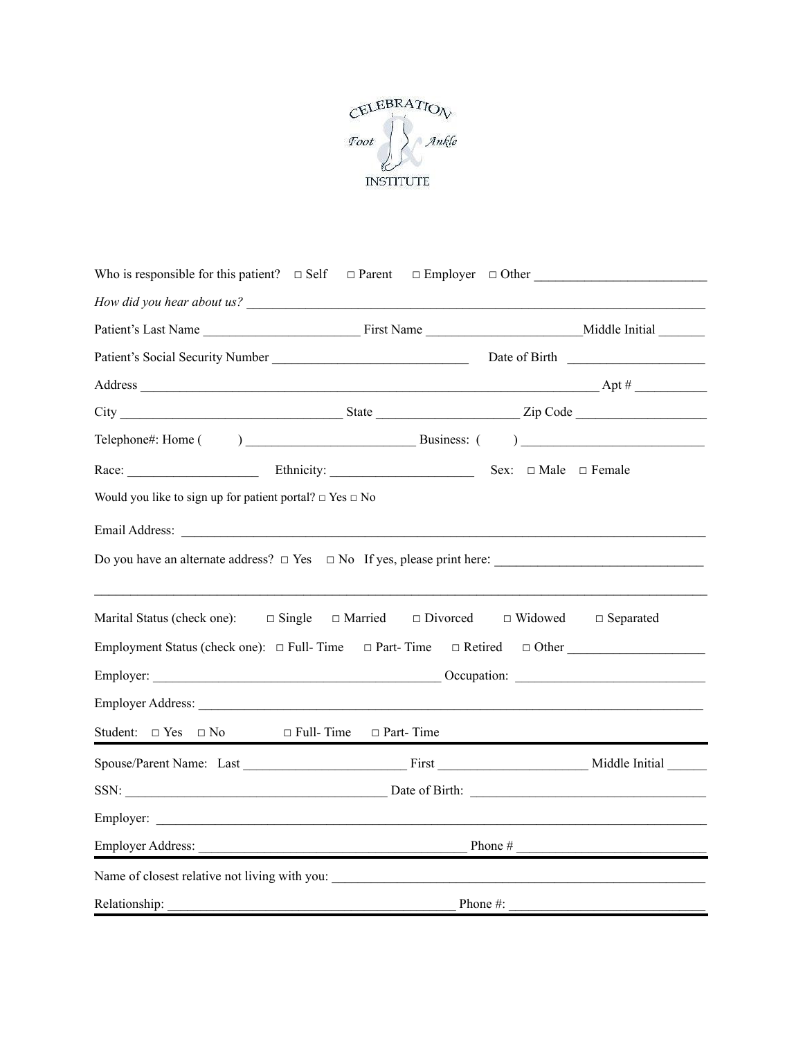

| Who is responsible for this patient? $\Box$ Self $\Box$ Parent                                           |                  | $\Box$ Employer $\Box$ Other                                                                        |
|----------------------------------------------------------------------------------------------------------|------------------|-----------------------------------------------------------------------------------------------------|
|                                                                                                          |                  |                                                                                                     |
|                                                                                                          |                  |                                                                                                     |
|                                                                                                          |                  |                                                                                                     |
|                                                                                                          |                  |                                                                                                     |
|                                                                                                          |                  |                                                                                                     |
|                                                                                                          |                  |                                                                                                     |
|                                                                                                          |                  |                                                                                                     |
| Would you like to sign up for patient portal? $\Box$ Yes $\Box$ No                                       |                  |                                                                                                     |
|                                                                                                          |                  |                                                                                                     |
|                                                                                                          |                  |                                                                                                     |
|                                                                                                          |                  |                                                                                                     |
| Marital Status (check one): $\Box$ Single $\Box$ Married $\Box$ Divorced $\Box$ Widowed $\Box$ Separated |                  |                                                                                                     |
|                                                                                                          |                  | Employment Status (check one): □ Full- Time □ Part- Time □ Retired □ Other ________________________ |
|                                                                                                          |                  |                                                                                                     |
|                                                                                                          |                  |                                                                                                     |
| Student: $\Box$ Yes $\Box$ No $\Box$ Full-Time                                                           | $\Box$ Part-Time |                                                                                                     |
|                                                                                                          |                  |                                                                                                     |
|                                                                                                          |                  |                                                                                                     |
|                                                                                                          |                  |                                                                                                     |
| Employer Address:                                                                                        |                  | Phone $\frac{\# \qquad \qquad}{\qquad \qquad }$                                                     |
|                                                                                                          |                  |                                                                                                     |
|                                                                                                          |                  | Phone #:                                                                                            |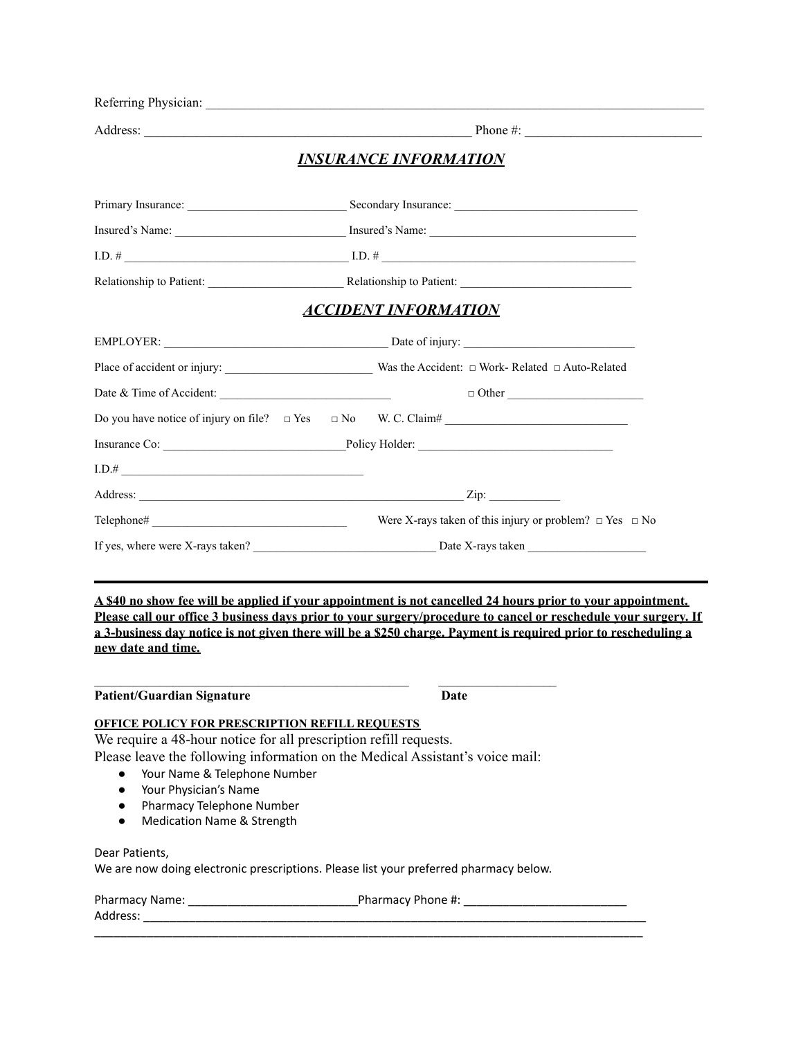|                                                                                                                                                                                                                                                                                                               | <b>INSURANCE INFORMATION</b>                                                                                                                                                                                                                                                                                                                     |  |  |  |  |  |  |  |
|---------------------------------------------------------------------------------------------------------------------------------------------------------------------------------------------------------------------------------------------------------------------------------------------------------------|--------------------------------------------------------------------------------------------------------------------------------------------------------------------------------------------------------------------------------------------------------------------------------------------------------------------------------------------------|--|--|--|--|--|--|--|
|                                                                                                                                                                                                                                                                                                               |                                                                                                                                                                                                                                                                                                                                                  |  |  |  |  |  |  |  |
|                                                                                                                                                                                                                                                                                                               |                                                                                                                                                                                                                                                                                                                                                  |  |  |  |  |  |  |  |
|                                                                                                                                                                                                                                                                                                               |                                                                                                                                                                                                                                                                                                                                                  |  |  |  |  |  |  |  |
|                                                                                                                                                                                                                                                                                                               |                                                                                                                                                                                                                                                                                                                                                  |  |  |  |  |  |  |  |
|                                                                                                                                                                                                                                                                                                               | <b>ACCIDENT INFORMATION</b>                                                                                                                                                                                                                                                                                                                      |  |  |  |  |  |  |  |
|                                                                                                                                                                                                                                                                                                               |                                                                                                                                                                                                                                                                                                                                                  |  |  |  |  |  |  |  |
|                                                                                                                                                                                                                                                                                                               |                                                                                                                                                                                                                                                                                                                                                  |  |  |  |  |  |  |  |
| Date & Time of Accident:                                                                                                                                                                                                                                                                                      | $\Box$ Other                                                                                                                                                                                                                                                                                                                                     |  |  |  |  |  |  |  |
|                                                                                                                                                                                                                                                                                                               | Do you have notice of injury on file? $\Box$ Yes $\Box$ No W. C. Claim#                                                                                                                                                                                                                                                                          |  |  |  |  |  |  |  |
|                                                                                                                                                                                                                                                                                                               |                                                                                                                                                                                                                                                                                                                                                  |  |  |  |  |  |  |  |
|                                                                                                                                                                                                                                                                                                               |                                                                                                                                                                                                                                                                                                                                                  |  |  |  |  |  |  |  |
|                                                                                                                                                                                                                                                                                                               |                                                                                                                                                                                                                                                                                                                                                  |  |  |  |  |  |  |  |
|                                                                                                                                                                                                                                                                                                               | Were X-rays taken of this injury or problem? $\Box$ Yes $\Box$ No                                                                                                                                                                                                                                                                                |  |  |  |  |  |  |  |
|                                                                                                                                                                                                                                                                                                               |                                                                                                                                                                                                                                                                                                                                                  |  |  |  |  |  |  |  |
|                                                                                                                                                                                                                                                                                                               |                                                                                                                                                                                                                                                                                                                                                  |  |  |  |  |  |  |  |
| new date and time.                                                                                                                                                                                                                                                                                            | A \$40 no show fee will be applied if your appointment is not cancelled 24 hours prior to your appointment.<br>Please call our office 3 business days prior to your surgery/procedure to cancel or reschedule your surgery. If<br>a 3-business day notice is not given there will be a \$250 charge. Payment is required prior to rescheduling a |  |  |  |  |  |  |  |
| <b>Patient/Guardian Signature</b>                                                                                                                                                                                                                                                                             | Date                                                                                                                                                                                                                                                                                                                                             |  |  |  |  |  |  |  |
| <b>OFFICE POLICY FOR PRESCRIPTION REFILL REQUESTS</b><br>We require a 48-hour notice for all prescription refill requests.<br>Your Name & Telephone Number<br>$\bullet$<br>Your Physician's Name<br>$\bullet$<br>Pharmacy Telephone Number<br>$\bullet$<br><b>Medication Name &amp; Strength</b><br>$\bullet$ | Please leave the following information on the Medical Assistant's voice mail:                                                                                                                                                                                                                                                                    |  |  |  |  |  |  |  |
| Dear Patients,                                                                                                                                                                                                                                                                                                | We are now doing electronic prescriptions. Please list your preferred pharmacy below.                                                                                                                                                                                                                                                            |  |  |  |  |  |  |  |
|                                                                                                                                                                                                                                                                                                               |                                                                                                                                                                                                                                                                                                                                                  |  |  |  |  |  |  |  |

\_\_\_\_\_\_\_\_\_\_\_\_\_\_\_\_\_\_\_\_\_\_\_\_\_\_\_\_\_\_\_\_\_\_\_\_\_\_\_\_\_\_\_\_\_\_\_\_\_\_\_\_\_\_\_\_\_\_\_\_\_\_\_\_\_\_\_\_\_\_\_\_\_\_\_\_\_\_\_\_\_\_\_\_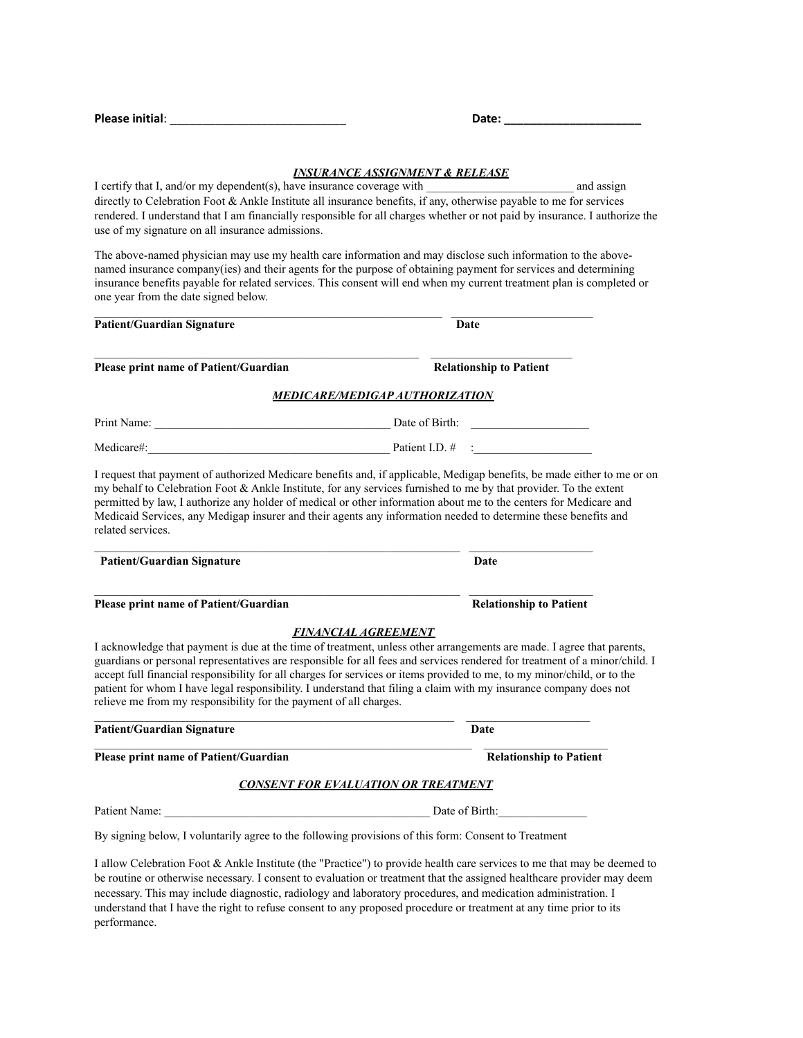| <b>INSURANCE ASSIGNMENT &amp; RELEASE</b>                              |            |
|------------------------------------------------------------------------|------------|
| I certify that I, and/or my dependent(s), have insurance coverage with | and assign |

**Please initial**: \_\_\_\_\_\_\_\_\_\_\_\_\_\_\_\_\_\_\_\_\_\_\_\_\_\_\_ **Date: \_\_\_\_\_\_\_\_\_\_\_\_\_\_\_\_\_\_\_\_\_**

directly to Celebration Foot & Ankle Institute all insurance benefits, if any, otherwise payable to me for services rendered. I understand that I am financially responsible for all charges whether or not paid by insurance. I authorize the use of my signature on all insurance admissions.

The above-named physician may use my health care information and may disclose such information to the abovenamed insurance company(ies) and their agents for the purpose of obtaining payment for services and determining insurance benefits payable for related services. This consent will end when my current treatment plan is completed or one year from the date signed below.

| <b>Patient/Guardian Signature</b>                                                                    | Date                                                                                                                                                                                                                                                                                                                                                                                                                                                                                                                              |
|------------------------------------------------------------------------------------------------------|-----------------------------------------------------------------------------------------------------------------------------------------------------------------------------------------------------------------------------------------------------------------------------------------------------------------------------------------------------------------------------------------------------------------------------------------------------------------------------------------------------------------------------------|
| Please print name of Patient/Guardian                                                                | <b>Relationship to Patient</b>                                                                                                                                                                                                                                                                                                                                                                                                                                                                                                    |
|                                                                                                      | <b>MEDICARE/MEDIGAP AUTHORIZATION</b>                                                                                                                                                                                                                                                                                                                                                                                                                                                                                             |
|                                                                                                      |                                                                                                                                                                                                                                                                                                                                                                                                                                                                                                                                   |
|                                                                                                      |                                                                                                                                                                                                                                                                                                                                                                                                                                                                                                                                   |
| related services.                                                                                    | I request that payment of authorized Medicare benefits and, if applicable, Medigap benefits, be made either to me or on<br>my behalf to Celebration Foot & Ankle Institute, for any services furnished to me by that provider. To the extent<br>permitted by law, I authorize any holder of medical or other information about me to the centers for Medicare and<br>Medicaid Services, any Medigap insurer and their agents any information needed to determine these benefits and                                               |
| <b>Patient/Guardian Signature</b>                                                                    | Date                                                                                                                                                                                                                                                                                                                                                                                                                                                                                                                              |
| Please print name of Patient/Guardian                                                                | <b>Relationship to Patient</b>                                                                                                                                                                                                                                                                                                                                                                                                                                                                                                    |
| relieve me from my responsibility for the payment of all charges.                                    | <b>FINANCIAL AGREEMENT</b><br>I acknowledge that payment is due at the time of treatment, unless other arrangements are made. I agree that parents,<br>guardians or personal representatives are responsible for all fees and services rendered for treatment of a minor/child. I<br>accept full financial responsibility for all charges for services or items provided to me, to my minor/child, or to the<br>patient for whom I have legal responsibility. I understand that filing a claim with my insurance company does not |
| <b>Patient/Guardian Signature</b>                                                                    | <b>Date</b>                                                                                                                                                                                                                                                                                                                                                                                                                                                                                                                       |
| Please print name of Patient/Guardian                                                                | <b>Relationship to Patient</b>                                                                                                                                                                                                                                                                                                                                                                                                                                                                                                    |
|                                                                                                      | <b>CONSENT FOR EVALUATION OR TREATMENT</b>                                                                                                                                                                                                                                                                                                                                                                                                                                                                                        |
| Patient Name: Date of Birth: Date of Birth:                                                          |                                                                                                                                                                                                                                                                                                                                                                                                                                                                                                                                   |
| By signing below, I voluntarily agree to the following provisions of this form: Consent to Treatment |                                                                                                                                                                                                                                                                                                                                                                                                                                                                                                                                   |
|                                                                                                      | I allow Celebration Foot & Ankle Institute (the "Practice") to provide health care services to me that may be deemed to<br>be routine or otherwise necessary I consent to evaluation or treatment that the assigned healthcare provider may deem                                                                                                                                                                                                                                                                                  |

be recessary. I consent to evaluation or treatment that the assigned healthcare provider may deem necessary. This may include diagnostic, radiology and laboratory procedures, and medication administration. I understand that I have the right to refuse consent to any proposed procedure or treatment at any time prior to its performance.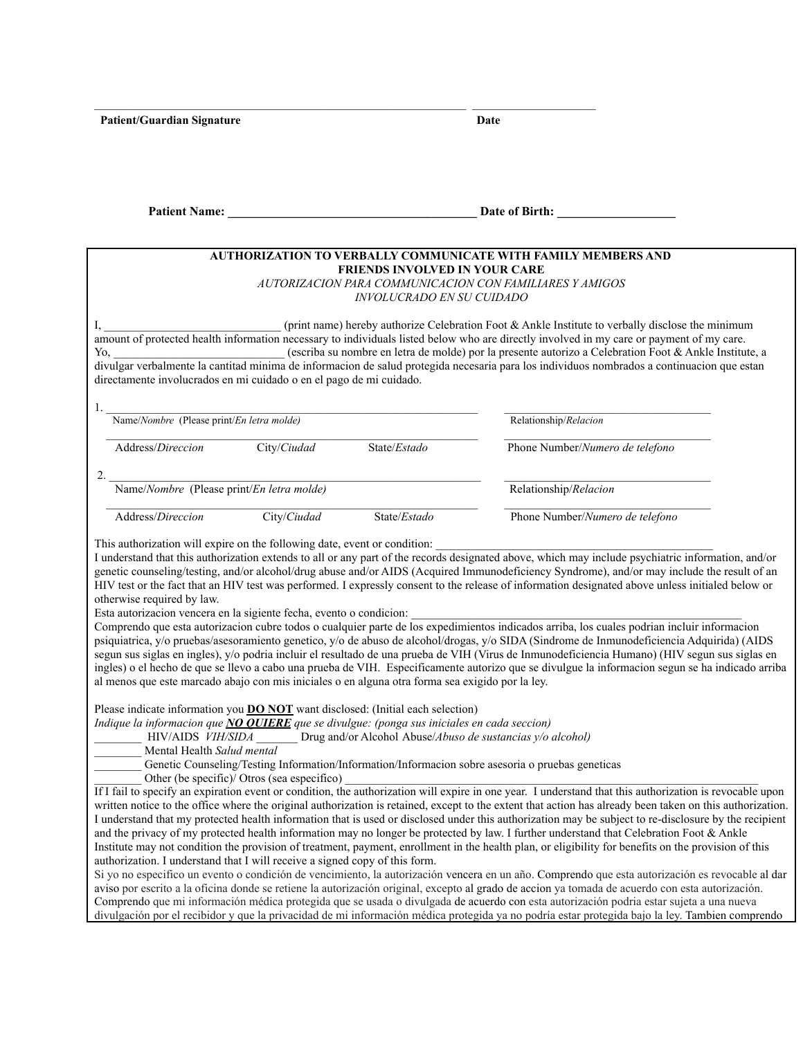**Patient/Guardian Signature Date Patient Name:** Date of Birth: **AUTHORIZATION TO VERBALLY COMMUNICATE WITH FAMILY MEMBERS AND FRIENDS INVOLVED IN YOUR CARE** *AUTORIZACION PARA COMMUNICACION CON FAMILIARES Y AMIGOS INVOLUCRADO EN SU CUIDADO* I, (print name) hereby authorize Celebration Foot & Ankle Institute to verbally disclose the minimum amount of protected health information necessary to individuals listed below who are directly involved in my care or payment of my care. Yo, escriba su nombre en letra de molde) por la presente autorizo a Celebration Foot & Ankle Institute, a divulgar verbalmente la cantitad minima de informacion de salud protegida necesaria para los individuos nombrados a continuacion que estan directamente involucrados en mi cuidado o en el pago de mi cuidado. 1. \_\_\_\_\_\_\_\_\_\_\_\_\_\_\_\_\_\_\_\_\_\_\_\_\_\_\_\_\_\_\_\_\_\_\_\_\_\_\_\_\_\_\_\_\_\_\_\_\_\_\_\_\_\_\_\_\_\_\_\_\_\_\_ \_\_\_\_\_\_\_\_\_\_\_\_\_\_\_\_\_\_\_\_\_\_\_\_\_\_\_\_\_\_\_\_\_\_\_ Name/*Nombre* (Please print/*En letra molde)* Relationship/*Relacion* Address/*Direccion* City/*Ciudad* State/*Estado* Phone Number/*Numero de telefono*  $2. \underline{\hspace{1.5cm}}$ Name/*Nombre* (Please print/*En letra molde)* Relationship/*Relacion* Address/*Direccion* City/*Ciudad* State/*Estado* Phone Number/*Numero de telefono* This authorization will expire on the following date, event or condition: I understand that this authorization extends to all or any part of the records designated above, which may include psychiatric information, and/or genetic counseling/testing, and/or alcohol/drug abuse and/or AIDS (Acquired Immunodeficiency Syndrome), and/or may include the result of an HIV test or the fact that an HIV test was performed. I expressly consent to the release of information designated above unless initialed below or otherwise required by law. Esta autorizacion vencera en la sigiente fecha, evento o condicion: Comprendo que esta autorizacion cubre todos o cualquier parte de los expedimientos indicados arriba, los cuales podrian incluir informacion psiquiatrica, y/o pruebas/asesoramiento genetico, y/o de abuso de alcohol/drogas, y/o SIDA (Sindrome de Inmunodeficiencia Adquirida) (AIDS segun sus siglas en ingles), y/o podria incluir el resultado de una prueba de VIH (Virus de Inmunodeficiencia Humano) (HIV segun sus siglas en ingles) o el hecho de que se llevo a cabo una prueba de VIH. Especificamente autorizo que se divulgue la informacion segun se ha indicado arriba al menos que este marcado abajo con mis iniciales o en alguna otra forma sea exigido por la ley. Please indicate information you **DO NOT** want disclosed: (Initial each selection) *Indique la informacion que NO QUIERE que se divulgue: (ponga sus iniciales en cada seccion)* \_\_\_\_\_\_\_\_ HIV/AIDS *VIH/SIDA \_\_\_\_\_\_\_* Drug and/or Alcohol Abuse/*Abuso de sustancias y/o alcohol) \_\_\_\_\_\_\_\_* Mental Health *Salud mental* \_\_\_\_\_\_\_\_ Genetic Counseling/Testing Information/Information/Informacion sobre asesoria o pruebas geneticas Other (be specific)/ Otros (sea especifico) If I fail to specify an expiration event or condition, the authorization will expire in one year. I understand that this authorization is revocable upon written notice to the office where the original authorization is retained, except to the extent that action has already been taken on this authorization. I understand that my protected health information that is used or disclosed under this authorization may be subject to re-disclosure by the recipient and the privacy of my protected health information may no longer be protected by law. I further understand that Celebration Foot & Ankle Institute may not condition the provision of treatment, payment, enrollment in the health plan, or eligibility for benefits on the provision of this authorization. I understand that I will receive a signed copy of this form. Si yo no especifico un evento o condición de vencimiento, la autorización vencera en un año. Comprendo que esta autorización es revocable al dar aviso por escrito a la oficina donde se retiene la autorización original, excepto al grado de accion ya tomada de acuerdo con esta autorización. Comprendo que mi información médica protegida que se usada o divulgada de acuerdo con esta autorización podria estar sujeta a una nueva divulgación por el recibidor y que la privacidad de mi información médica protegida ya no podría estar protegida bajo la ley. Tambien comprendo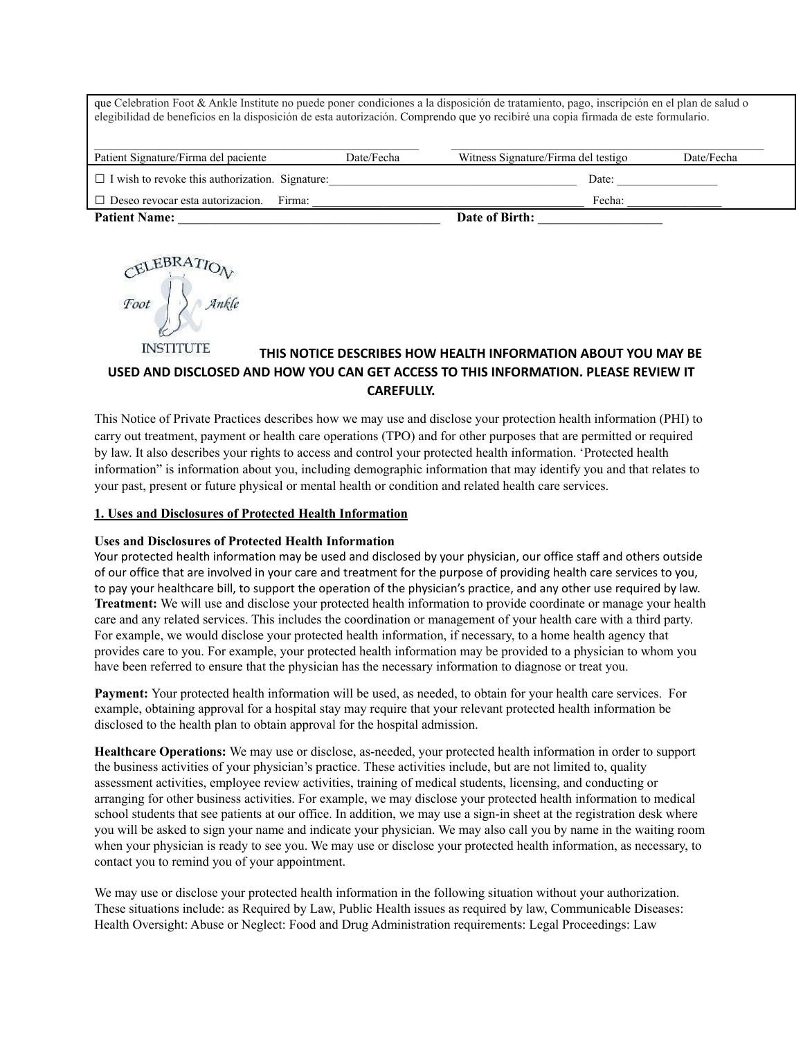que Celebration Foot & Ankle Institute no puede poner condiciones a la disposición de tratamiento, pago, inscripción en el plan de salud o elegibilidad de beneficios en la disposición de esta autorización. Comprendo que yo recibiré una copia firmada de este formulario. Patient Signature/Firma del paciente Date/Fecha Witness Signature/Firma del testigo Date/Fecha  $\Box$  I wish to revoke this authorization. Signature:  $\Box$  $\Box$  Deseo revocar esta autorizacion. Firma:  $\Box$ **Patient Name: Date of Birth:**  $\blacksquare$ 

# CELEBRATIC

### **INSTITUTE THIS NOTICE DESCRIBES HOW HEALTH INFORMATION ABOUT YOU MAY BE USED AND DISCLOSED AND HOW YOU CAN GET ACCESS TO THIS INFORMATION. PLEASE REVIEW IT CAREFULLY.**

This Notice of Private Practices describes how we may use and disclose your protection health information (PHI) to carry out treatment, payment or health care operations (TPO) and for other purposes that are permitted or required by law. It also describes your rights to access and control your protected health information. 'Protected health information" is information about you, including demographic information that may identify you and that relates to your past, present or future physical or mental health or condition and related health care services.

# **1. Uses and Disclosures of Protected Health Information**

## **Uses and Disclosures of Protected Health Information**

Your protected health information may be used and disclosed by your physician, our office staff and others outside of our office that are involved in your care and treatment for the purpose of providing health care services to you, to pay your healthcare bill, to support the operation of the physician's practice, and any other use required by law. **Treatment:** We will use and disclose your protected health information to provide coordinate or manage your health care and any related services. This includes the coordination or management of your health care with a third party. For example, we would disclose your protected health information, if necessary, to a home health agency that provides care to you. For example, your protected health information may be provided to a physician to whom you have been referred to ensure that the physician has the necessary information to diagnose or treat you.

**Payment:** Your protected health information will be used, as needed, to obtain for your health care services. For example, obtaining approval for a hospital stay may require that your relevant protected health information be disclosed to the health plan to obtain approval for the hospital admission.

**Healthcare Operations:** We may use or disclose, as-needed, your protected health information in order to support the business activities of your physician's practice. These activities include, but are not limited to, quality assessment activities, employee review activities, training of medical students, licensing, and conducting or arranging for other business activities. For example, we may disclose your protected health information to medical school students that see patients at our office. In addition, we may use a sign-in sheet at the registration desk where you will be asked to sign your name and indicate your physician. We may also call you by name in the waiting room when your physician is ready to see you. We may use or disclose your protected health information, as necessary, to contact you to remind you of your appointment.

We may use or disclose your protected health information in the following situation without your authorization. These situations include: as Required by Law, Public Health issues as required by law, Communicable Diseases: Health Oversight: Abuse or Neglect: Food and Drug Administration requirements: Legal Proceedings: Law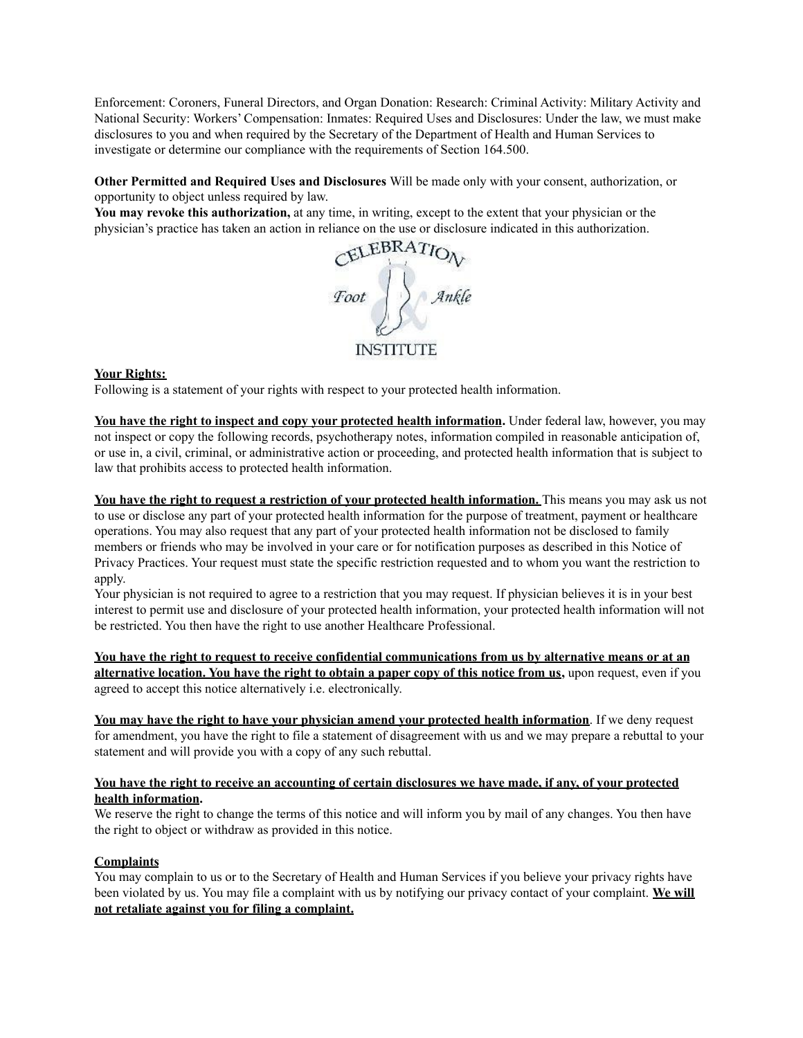Enforcement: Coroners, Funeral Directors, and Organ Donation: Research: Criminal Activity: Military Activity and National Security: Workers' Compensation: Inmates: Required Uses and Disclosures: Under the law, we must make disclosures to you and when required by the Secretary of the Department of Health and Human Services to investigate or determine our compliance with the requirements of Section 164.500.

**Other Permitted and Required Uses and Disclosures** Will be made only with your consent, authorization, or opportunity to object unless required by law.

**You may revoke this authorization,** at any time, in writing, except to the extent that your physician or the physician's practice has taken an action in reliance on the use or disclosure indicated in this authorization.



## **Your Rights:**

Following is a statement of your rights with respect to your protected health information.

**You have the right to inspect and copy your protected health information.** Under federal law, however, you may not inspect or copy the following records, psychotherapy notes, information compiled in reasonable anticipation of, or use in, a civil, criminal, or administrative action or proceeding, and protected health information that is subject to law that prohibits access to protected health information.

**You have the right to request a restriction of your protected health information.** This means you may ask us not to use or disclose any part of your protected health information for the purpose of treatment, payment or healthcare operations. You may also request that any part of your protected health information not be disclosed to family members or friends who may be involved in your care or for notification purposes as described in this Notice of Privacy Practices. Your request must state the specific restriction requested and to whom you want the restriction to apply.

Your physician is not required to agree to a restriction that you may request. If physician believes it is in your best interest to permit use and disclosure of your protected health information, your protected health information will not be restricted. You then have the right to use another Healthcare Professional.

**You have the right to request to receive confidential communications from us by alternative means or at an alternative location. You have the right to obtain a paper copy of this notice from us,** upon request, even if you agreed to accept this notice alternatively i.e. electronically.

**You may have the right to have your physician amend your protected health information**. If we deny request for amendment, you have the right to file a statement of disagreement with us and we may prepare a rebuttal to your statement and will provide you with a copy of any such rebuttal.

## **You have the right to receive an accounting of certain disclosures we have made, if any, of your protected health information.**

We reserve the right to change the terms of this notice and will inform you by mail of any changes. You then have the right to object or withdraw as provided in this notice.

## **Complaints**

You may complain to us or to the Secretary of Health and Human Services if you believe your privacy rights have been violated by us. You may file a complaint with us by notifying our privacy contact of your complaint. **We will not retaliate against you for filing a complaint.**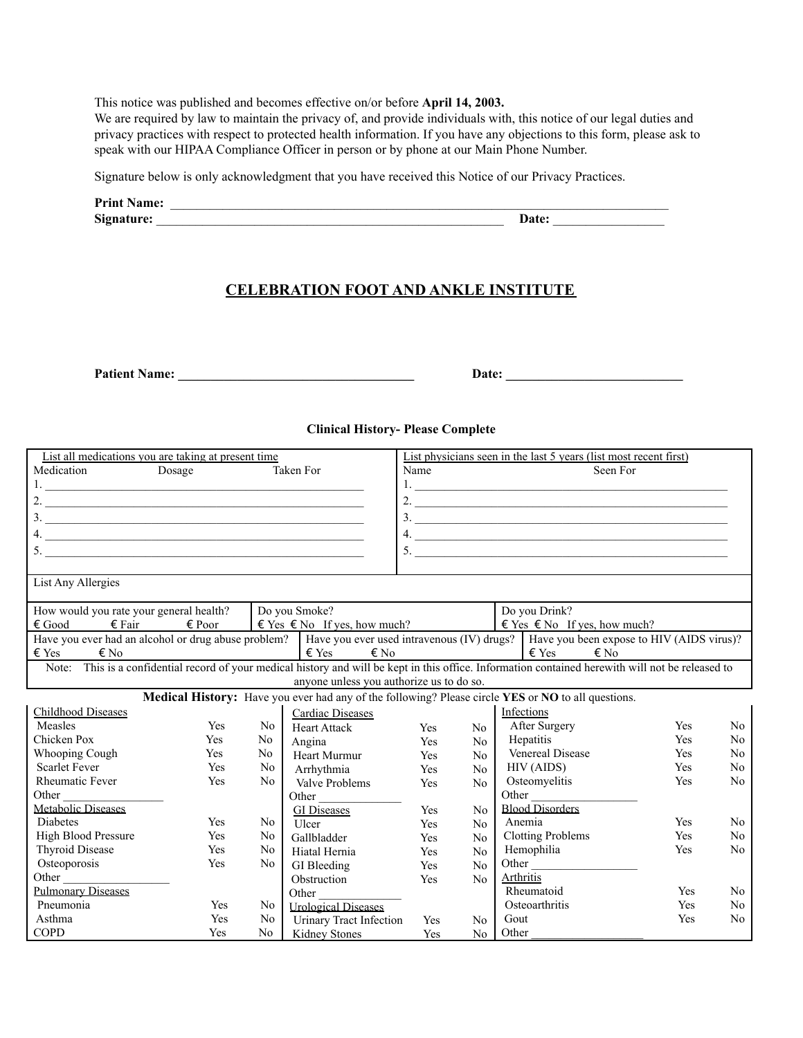This notice was published and becomes effective on/or before **April 14, 2003.**

We are required by law to maintain the privacy of, and provide individuals with, this notice of our legal duties and privacy practices with respect to protected health information. If you have any objections to this form, please ask to speak with our HIPAA Compliance Officer in person or by phone at our Main Phone Number.

Signature below is only acknowledgment that you have received this Notice of our Privacy Practices.

| <b>Print Name:</b> |              |
|--------------------|--------------|
| Signature:         | <b>Date:</b> |

# **CELEBRATION FOOT AND ANKLE INSTITUTE**

**Patient Name: \_\_\_\_\_\_\_\_\_\_\_\_\_\_\_\_\_\_\_\_\_\_\_\_\_\_\_\_\_\_\_\_\_\_\_\_ Date: \_\_\_\_\_\_\_\_\_\_\_\_\_\_\_\_\_\_\_\_\_\_\_\_\_\_\_**

### **Clinical History- Please Complete**

| List all medications you are taking at present time                                                   |                 |                |                                          | List physicians seen in the last 5 years (list most recent first) |                |                                                                                                                                                     |     |                |  |  |  |  |
|-------------------------------------------------------------------------------------------------------|-----------------|----------------|------------------------------------------|-------------------------------------------------------------------|----------------|-----------------------------------------------------------------------------------------------------------------------------------------------------|-----|----------------|--|--|--|--|
| Medication                                                                                            | Dosage          |                | Taken For                                | Name<br>Seen For                                                  |                |                                                                                                                                                     |     |                |  |  |  |  |
|                                                                                                       |                 |                |                                          |                                                                   |                |                                                                                                                                                     |     |                |  |  |  |  |
| 2. $\overline{\phantom{a}}$                                                                           |                 |                |                                          | 2. $\overline{\phantom{a}}$                                       |                |                                                                                                                                                     |     |                |  |  |  |  |
| $\frac{3}{2}$                                                                                         |                 |                |                                          |                                                                   |                |                                                                                                                                                     |     |                |  |  |  |  |
|                                                                                                       |                 |                |                                          | $\frac{3}{2}$<br>4.                                               |                |                                                                                                                                                     |     |                |  |  |  |  |
| $\mathcal{A}$ .                                                                                       |                 |                |                                          |                                                                   |                |                                                                                                                                                     |     |                |  |  |  |  |
| $5.$ $\overline{\phantom{a}}$                                                                         |                 |                |                                          |                                                                   |                | 5.                                                                                                                                                  |     |                |  |  |  |  |
|                                                                                                       |                 |                |                                          |                                                                   |                |                                                                                                                                                     |     |                |  |  |  |  |
| List Any Allergies                                                                                    |                 |                |                                          |                                                                   |                |                                                                                                                                                     |     |                |  |  |  |  |
| How would you rate your general health?                                                               |                 |                | Do you Smoke?                            |                                                                   |                | Do you Drink?                                                                                                                                       |     |                |  |  |  |  |
| $\epsilon$ Fair<br>$\epsilon$ Good                                                                    | $\epsilon$ Poor |                | $\in$ Yes $\in$ No If yes, how much?     |                                                                   |                | € Yes $\epsilon$ No If yes, how much?                                                                                                               |     |                |  |  |  |  |
|                                                                                                       |                 |                |                                          |                                                                   |                | Have you ever had an alcohol or drug abuse problem?   Have you ever used intravenous (IV) drugs?   Have you been expose to HIV (AIDS virus)?        |     |                |  |  |  |  |
| $\epsilon$ Yes<br>$\epsilon$ No<br>$\epsilon$ Yes<br>$\epsilon$ Yes<br>$\epsilon$ No<br>$\epsilon$ No |                 |                |                                          |                                                                   |                |                                                                                                                                                     |     |                |  |  |  |  |
|                                                                                                       |                 |                |                                          |                                                                   |                | Note: This is a confidential record of your medical history and will be kept in this office. Information contained herewith will not be released to |     |                |  |  |  |  |
|                                                                                                       |                 |                | anyone unless you authorize us to do so. |                                                                   |                |                                                                                                                                                     |     |                |  |  |  |  |
|                                                                                                       |                 |                |                                          |                                                                   |                | Medical History: Have you ever had any of the following? Please circle YES or NO to all questions.                                                  |     |                |  |  |  |  |
| <b>Childhood Diseases</b>                                                                             |                 |                | <b>Cardiac Diseases</b>                  |                                                                   |                | Infections                                                                                                                                          |     |                |  |  |  |  |
| Measles                                                                                               | Yes             | No             | <b>Heart Attack</b>                      | Yes                                                               | No             | After Surgery                                                                                                                                       | Yes | No             |  |  |  |  |
| Chicken Pox                                                                                           | Yes             | No             | Angina                                   | Yes                                                               | No             | Hepatitis                                                                                                                                           | Yes | No             |  |  |  |  |
| Whooping Cough                                                                                        | Yes             | N <sub>0</sub> | Heart Murmur                             | Yes                                                               | No             | Venereal Disease                                                                                                                                    | Yes | N <sub>0</sub> |  |  |  |  |
| <b>Scarlet Fever</b>                                                                                  | Yes             | No             | Arrhythmia                               | Yes                                                               | No             | HIV (AIDS)                                                                                                                                          | Yes | N <sub>0</sub> |  |  |  |  |
| <b>Rheumatic Fever</b>                                                                                | Yes             | N <sub>0</sub> | Valve Problems                           | Yes                                                               | No             | Osteomyelitis                                                                                                                                       | Yes | No             |  |  |  |  |
| Other                                                                                                 |                 |                | Other                                    |                                                                   |                | Other                                                                                                                                               |     |                |  |  |  |  |
| Metabolic Diseases                                                                                    |                 |                | <b>GI Diseases</b>                       | Yes                                                               | No             | <b>Blood Disorders</b>                                                                                                                              |     |                |  |  |  |  |
| <b>Diabetes</b>                                                                                       | Yes             | N <sub>0</sub> | Ulcer                                    | Yes                                                               | No             | Anemia                                                                                                                                              | Yes | N <sub>0</sub> |  |  |  |  |
| High Blood Pressure                                                                                   | Yes             | N <sub>0</sub> | Gallbladder                              | Yes                                                               | No             | <b>Clotting Problems</b>                                                                                                                            | Yes | N <sub>0</sub> |  |  |  |  |
| <b>Thyroid Disease</b>                                                                                | Yes             | No             | Hiatal Hernia                            | Yes                                                               | No             | Hemophilia                                                                                                                                          | Yes | No             |  |  |  |  |
| Osteoporosis                                                                                          | Yes             | N <sub>0</sub> | GI Bleeding                              | Yes                                                               | No             | Other                                                                                                                                               |     |                |  |  |  |  |
| Other                                                                                                 |                 |                | Obstruction                              | Yes                                                               | No             | <b>Arthritis</b>                                                                                                                                    |     |                |  |  |  |  |
| <b>Pulmonary Diseases</b>                                                                             |                 |                | Other                                    |                                                                   |                | Rheumatoid                                                                                                                                          | Yes | No             |  |  |  |  |
| Pneumonia                                                                                             | Yes             | No             | <b>Urological Diseases</b>               |                                                                   |                | Osteoarthritis                                                                                                                                      | Yes | N <sub>0</sub> |  |  |  |  |
| Asthma                                                                                                | Yes             | N <sub>0</sub> | <b>Urinary Tract Infection</b>           | Yes                                                               | N <sub>0</sub> | Gout                                                                                                                                                | Yes | N <sub>0</sub> |  |  |  |  |
| <b>COPD</b>                                                                                           | Yes             | No.            | Kidney Stones                            | Yes                                                               | No             | Other                                                                                                                                               |     |                |  |  |  |  |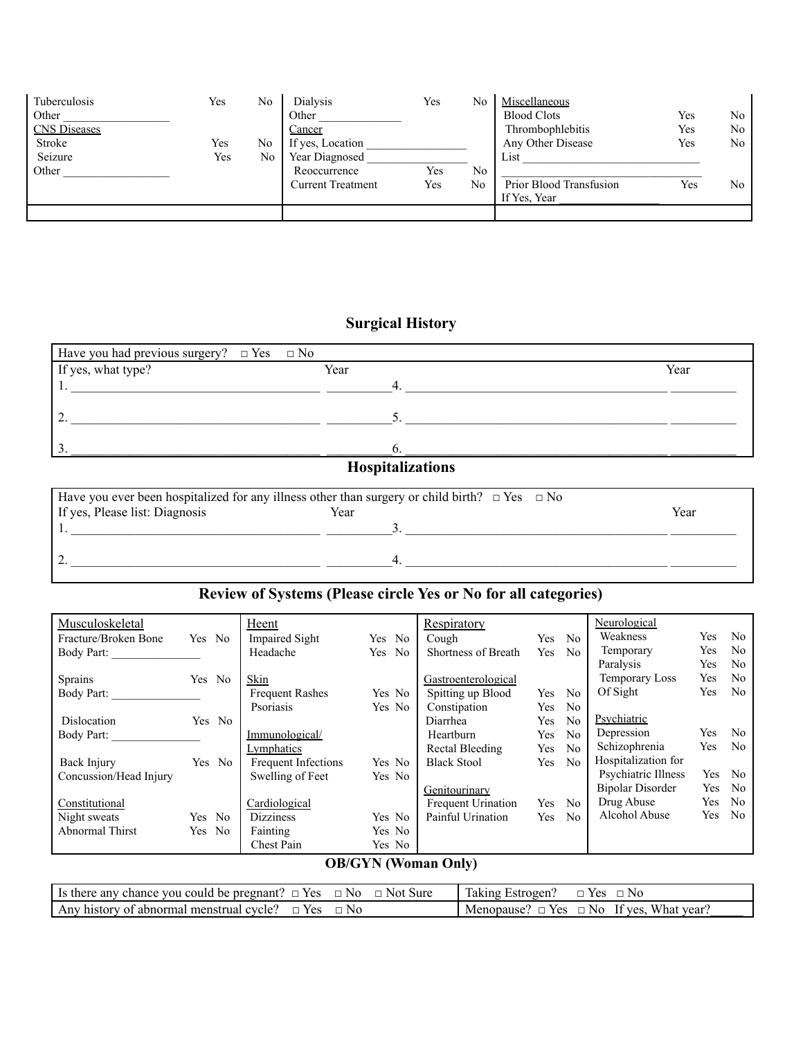| Tuberculosis        | Yes | No             | Dialysis                 | Yes | No             | Miscellaneous           |     |                 |
|---------------------|-----|----------------|--------------------------|-----|----------------|-------------------------|-----|-----------------|
| Other               |     |                | Other                    |     |                | <b>Blood Clots</b>      | Yes | No <sub>1</sub> |
| <b>CNS</b> Diseases |     |                | Cancer                   |     |                | Thrombophlebitis        | Yes | No              |
| Stroke              | Yes | No             | If yes, Location         |     |                | Any Other Disease       | Yes | No              |
| Seizure             | Yes | N <sub>0</sub> | Year Diagnosed           |     |                | List                    |     |                 |
| Other               |     |                | Reoccurrence             | Yes | N <sub>0</sub> |                         |     |                 |
|                     |     |                | <b>Current Treatment</b> | Yes | No             | Prior Blood Transfusion | Yes | No <sub>1</sub> |
|                     |     |                |                          |     |                | If Yes, Year            |     |                 |
|                     |     |                |                          |     |                |                         |     |                 |

# **Surgical History**

| Have you had previous surgery? $\Box$ Yes $\Box$ No                                                     |               |              |               |  |  |  |  |
|---------------------------------------------------------------------------------------------------------|---------------|--------------|---------------|--|--|--|--|
| If yes, what type?                                                                                      | Year          |              | Year          |  |  |  |  |
|                                                                                                         |               | 4            |               |  |  |  |  |
|                                                                                                         |               |              |               |  |  |  |  |
|                                                                                                         |               | <sub>6</sub> |               |  |  |  |  |
| <b>Hospitalizations</b>                                                                                 |               |              |               |  |  |  |  |
| Have you ever been hospitalized for any illness other than surgery or child birth? $\Box$ Yes $\Box$ No |               |              |               |  |  |  |  |
| If yes Please list: Diagnosis                                                                           | $V_{\rho}$ ar |              | $V_{\rho 9r}$ |  |  |  |  |

| If yes, Please list: Diagnosis | Year | Year |
|--------------------------------|------|------|
|                                | ╯    |      |
|                                |      |      |
|                                |      |      |
|                                |      |      |

# **Review of Systems (Please circle Yes or No for all categories)**

| Musculoskeletal        |        | Heent                      |        | <b>Respiratory</b>         |            |                | Neurological            |     |                |
|------------------------|--------|----------------------------|--------|----------------------------|------------|----------------|-------------------------|-----|----------------|
| Fracture/Broken Bone   | Yes No | <b>Impaired Sight</b>      | Yes No | Cough                      | Yes        | No.            | Weakness                | Yes | N <sub>0</sub> |
| Body Part:             |        | Headache                   | Yes No | <b>Shortness of Breath</b> | Yes        | N <sub>0</sub> | Temporary               | Yes | No.            |
|                        |        |                            |        |                            |            |                | Paralysis               | Yes | No.            |
| <b>Sprains</b>         | Yes No | Skin                       |        | Gastroenterological        |            |                | Temporary Loss          | Yes | No.            |
| Body Part:             |        | <b>Frequent Rashes</b>     | Yes No | Spitting up Blood          | <b>Yes</b> | N <sub>0</sub> | Of Sight                | Yes | No.            |
|                        |        | <b>P</b> soriasis          | Yes No | Constipation               | Yes        | No             |                         |     |                |
| Dislocation            | Yes No |                            |        | Diarrhea                   | Yes        | No             | Psychiatric             |     |                |
| Body Part:             |        | Immunological/             |        | Heartburn                  | Yes        | N <sub>0</sub> | Depression              | Yes | No             |
|                        |        | Lymphatics                 |        | Rectal Bleeding            | Yes        | No.            | Schizophrenia           | Yes | No.            |
| Back Injury            | Yes No | <b>Frequent Infections</b> | Yes No | <b>Black Stool</b>         | Yes        | No.            | Hospitalization for     |     |                |
| Concussion/Head Injury |        | Swelling of Feet           | Yes No |                            |            |                | Psychiatric Illness     | Yes | N <sub>0</sub> |
|                        |        |                            |        | Genitourinary              |            |                | <b>Bipolar Disorder</b> | Yes | N <sub>0</sub> |
| Constitutional         |        | Cardiological              |        | <b>Frequent Urination</b>  | <b>Yes</b> | No.            | Drug Abuse              | Yes | N <sub>0</sub> |
| Night sweats           | Yes No | Dizziness                  | Yes No | Painful Urination          | Yes        | No.            | Alcohol Abuse           | Yes | N <sub>0</sub> |
| <b>Abnormal Thirst</b> | Yes No | Fainting                   | Yes No |                            |            |                |                         |     |                |
|                        |        | Chest Pain                 | Yes No |                            |            |                |                         |     |                |

# **OB/GYN (Woman Only)**

| Is there any chance you could be pregnant? $\Box$ Yes $\Box$ No  | $\Box$ Not Sure | Taking Estrogen?         | $\sqcap$ Yes | $\Box$ No                    |
|------------------------------------------------------------------|-----------------|--------------------------|--------------|------------------------------|
| Any history of abnormal menstrual cycle? $\Box$ Yes<br>$\Box$ No |                 | Menopause? $\square$ Yes |              | $\Box$ No If yes. What year? |